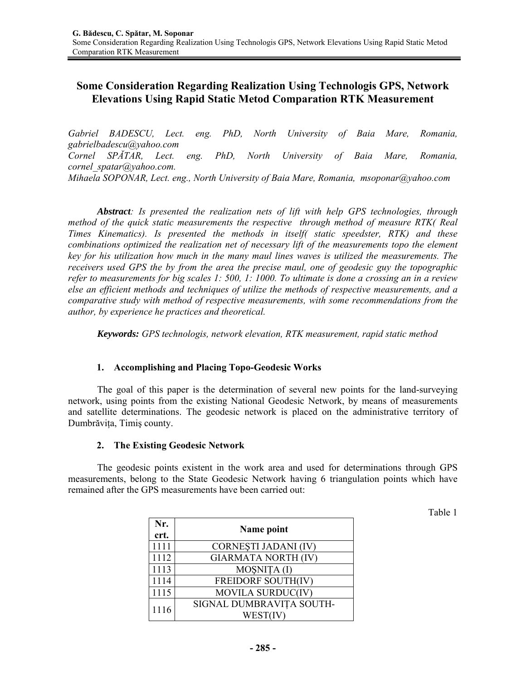# **Some Consideration Regarding Realization Using Technologis GPS, Network Elevations Using Rapid Static Metod Comparation RTK Measurement**

*Gabriel BADESCU, Lect. eng. PhD, North University of Baia Mare, Romania, gabrielbadescu@yahoo.com Cornel SPĂTAR, Lect. eng. PhD, North University of Baia Mare, Romania, cornel\_spatar@yahoo.com. Mihaela SOPONAR, Lect. eng., North University of Baia Mare, Romania, msoponar@yahoo.com* 

*Abstract: Is presented the realization nets of lift with help GPS technologies, through method of the quick static measurements the respective through method of measure RTK( Real Times Kinematics). Is presented the methods in itself( static speedster, RTK) and these combinations optimized the realization net of necessary lift of the measurements topo the element key for his utilization how much in the many maul lines waves is utilized the measurements. The receivers used GPS the by from the area the precise maul, one of geodesic guy the topographic refer to measurements for big scales 1: 500, 1: 1000. To ultimate is done a crossing an in a review else an efficient methods and techniques of utilize the methods of respective measurements, and a comparative study with method of respective measurements, with some recommendations from the author, by experience he practices and theoretical.* 

*Keywords: GPS technologis, network elevation, RTK measurement, rapid static method*

# **1. Accomplishing and Placing Topo-Geodesic Works**

The goal of this paper is the determination of several new points for the land-surveying network, using points from the existing National Geodesic Network, by means of measurements and satellite determinations. The geodesic network is placed on the administrative territory of Dumbrăviţa, Timiş county.

#### **2. The Existing Geodesic Network**

 The geodesic points existent in the work area and used for determinations through GPS measurements, belong to the State Geodesic Network having 6 triangulation points which have remained after the GPS measurements have been carried out:

| г<br>L<br>л<br>۰. |  |
|-------------------|--|
|                   |  |

| Nr.<br>crt. | Name point                           |
|-------------|--------------------------------------|
| 1111        | CORNESTI JADANI (IV)                 |
| 1112        | <b>GIARMATA NORTH (IV)</b>           |
| 1113        | MOȘNIȚA (I)                          |
| 1114        | <b>FREIDORF SOUTH(IV)</b>            |
| 1115        | MOVILA SURDUC(IV)                    |
| 1116        | SIGNAL DUMBRAVIȚA SOUTH-<br>WEST(IV) |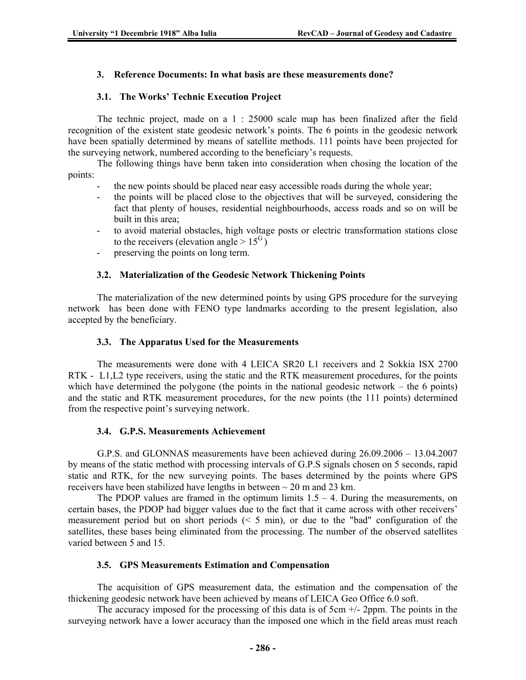## **3. Reference Documents: In what basis are these measurements done?**

## **3.1. The Works' Technic Execution Project**

The technic project, made on a 1 : 25000 scale map has been finalized after the field recognition of the existent state geodesic network's points. The 6 points in the geodesic network have been spatially determined by means of satellite methods. 111 points have been projected for the surveying network, numbered according to the beneficiary's requests.

The following things have benn taken into consideration when chosing the location of the points:

- the new points should be placed near easy accessible roads during the whole year;
- the points will be placed close to the objectives that will be surveyed, considering the fact that plenty of houses, residential neighbourhoods, access roads and so on will be built in this area;
- to avoid material obstacles, high voltage posts or electric transformation stations close to the receivers (elevation angle  $> 15^{\text{G}}$ )
- preserving the points on long term.

## **3.2. Materialization of the Geodesic Network Thickening Points**

The materialization of the new determined points by using GPS procedure for the surveying network has been done with FENO type landmarks according to the present legislation, also accepted by the beneficiary.

#### **3.3. The Apparatus Used for the Measurements**

The measurements were done with 4 LEICA SR20 L1 receivers and 2 Sokkia ISX 2700 RTK - L1,L2 type receivers, using the static and the RTK measurement procedures, for the points which have determined the polygone (the points in the national geodesic network – the 6 points) and the static and RTK measurement procedures, for the new points (the 111 points) determined from the respective point's surveying network.

#### **3.4. G.P.S. Measurements Achievement**

G.P.S. and GLONNAS measurements have been achieved during 26.09.2006 – 13.04.2007 by means of the static method with processing intervals of G.P.S signals chosen on 5 seconds, rapid static and RTK, for the new surveying points. The bases determined by the points where GPS receivers have been stabilized have lengths in between  $\sim$  20 m and 23 km.

The PDOP values are framed in the optimum limits  $1.5 - 4$ . During the measurements, on certain bases, the PDOP had bigger values due to the fact that it came across with other receivers' measurement period but on short periods  $(5 \text{ min})$ , or due to the "bad" configuration of the satellites, these bases being eliminated from the processing. The number of the observed satellites varied between 5 and 15.

#### **3.5. GPS Measurements Estimation and Compensation**

The acquisition of GPS measurement data, the estimation and the compensation of the thickening geodesic network have been achieved by means of LEICA Geo Office 6.0 soft.

The accuracy imposed for the processing of this data is of  $5cm +/2$  2ppm. The points in the surveying network have a lower accuracy than the imposed one which in the field areas must reach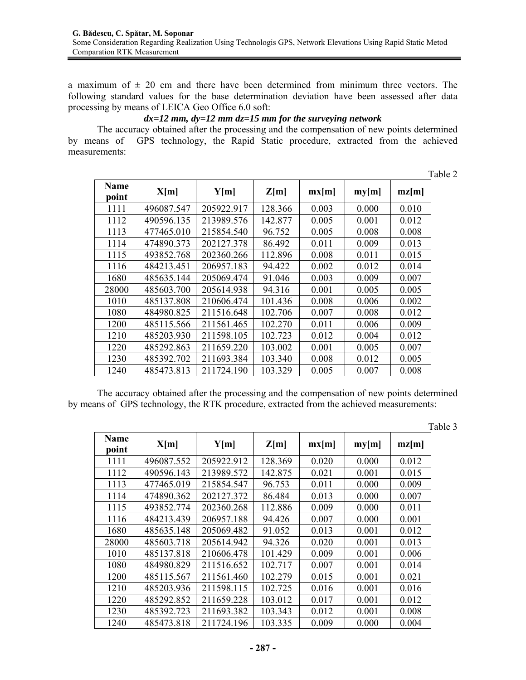a maximum of  $\pm$  20 cm and there have been determined from minimum three vectors. The following standard values for the base determination deviation have been assessed after data processing by means of LEICA Geo Office 6.0 soft:

# *dx=12 mm, dy=12 mm dz=15 mm for the surveying network*

The accuracy obtained after the processing and the compensation of new points determined by means of GPS technology, the Rapid Static procedure, extracted from the achieved measurements:

|               |            |            |         |       |       |       | Table 2 |
|---------------|------------|------------|---------|-------|-------|-------|---------|
| Name<br>point | X[m]       | Y[m]       | Z[m]    | mx[m] | my[m] | mz[m] |         |
| 1111          | 496087.547 | 205922.917 | 128.366 | 0.003 | 0.000 | 0.010 |         |
| 1112          | 490596.135 | 213989.576 | 142.877 | 0.005 | 0.001 | 0.012 |         |
| 1113          | 477465.010 | 215854.540 | 96.752  | 0.005 | 0.008 | 0.008 |         |
| 1114          | 474890.373 | 202127.378 | 86.492  | 0.011 | 0.009 | 0.013 |         |
| 1115          | 493852.768 | 202360.266 | 112.896 | 0.008 | 0.011 | 0.015 |         |
| 1116          | 484213.451 | 206957.183 | 94.422  | 0.002 | 0.012 | 0.014 |         |
| 1680          | 485635.144 | 205069.474 | 91.046  | 0.003 | 0.009 | 0.007 |         |
| 28000         | 485603.700 | 205614.938 | 94.316  | 0.001 | 0.005 | 0.005 |         |
| 1010          | 485137.808 | 210606.474 | 101.436 | 0.008 | 0.006 | 0.002 |         |
| 1080          | 484980.825 | 211516.648 | 102.706 | 0.007 | 0.008 | 0.012 |         |
| 1200          | 485115.566 | 211561.465 | 102.270 | 0.011 | 0.006 | 0.009 |         |
| 1210          | 485203.930 | 211598.105 | 102.723 | 0.012 | 0.004 | 0.012 |         |
| 1220          | 485292.863 | 211659.220 | 103.002 | 0.001 | 0.005 | 0.007 |         |
| 1230          | 485392.702 | 211693.384 | 103.340 | 0.008 | 0.012 | 0.005 |         |
| 1240          | 485473.813 | 211724.190 | 103.329 | 0.005 | 0.007 | 0.008 |         |

The accuracy obtained after the processing and the compensation of new points determined by means of GPS technology, the RTK procedure, extracted from the achieved measurements:

| Name<br>point | X[m]       | Y[m]       | Z[m]    | mx[m] | my[m] | mz[m] |
|---------------|------------|------------|---------|-------|-------|-------|
| 1111          | 496087.552 | 205922.912 | 128.369 | 0.020 | 0.000 | 0.012 |
| 1112          | 490596.143 | 213989.572 | 142.875 | 0.021 | 0.001 | 0.015 |
| 1113          | 477465.019 | 215854.547 | 96.753  | 0.011 | 0.000 | 0.009 |
| 1114          | 474890.362 | 202127.372 | 86.484  | 0.013 | 0.000 | 0.007 |
| 1115          | 493852.774 | 202360.268 | 112.886 | 0.009 | 0.000 | 0.011 |
| 1116          | 484213.439 | 206957.188 | 94.426  | 0.007 | 0.000 | 0.001 |
| 1680          | 485635.148 | 205069.482 | 91.052  | 0.013 | 0.001 | 0.012 |
| 28000         | 485603.718 | 205614.942 | 94.326  | 0.020 | 0.001 | 0.013 |
| 1010          | 485137.818 | 210606.478 | 101.429 | 0.009 | 0.001 | 0.006 |
| 1080          | 484980.829 | 211516.652 | 102.717 | 0.007 | 0.001 | 0.014 |
| 1200          | 485115.567 | 211561.460 | 102.279 | 0.015 | 0.001 | 0.021 |
| 1210          | 485203.936 | 211598.115 | 102.725 | 0.016 | 0.001 | 0.016 |
| 1220          | 485292.852 | 211659.228 | 103.012 | 0.017 | 0.001 | 0.012 |
| 1230          | 485392.723 | 211693.382 | 103.343 | 0.012 | 0.001 | 0.008 |
| 1240          | 485473.818 | 211724.196 | 103.335 | 0.009 | 0.000 | 0.004 |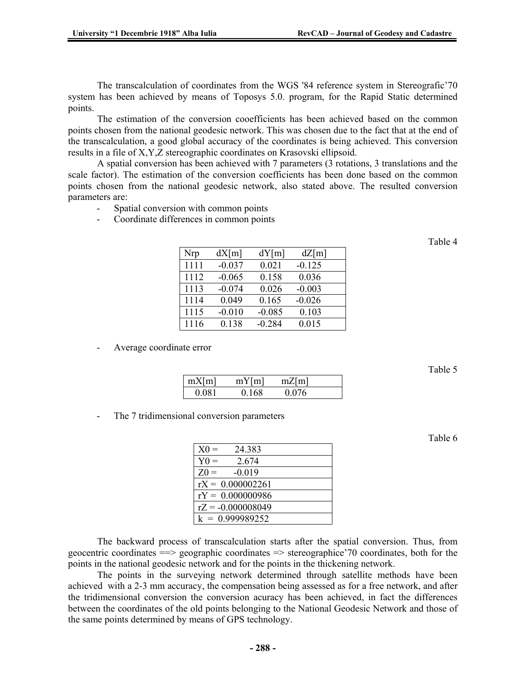The transcalculation of coordinates from the WGS '84 reference system in Stereografic'70 system has been achieved by means of Toposys 5.0. program, for the Rapid Static determined points.

The estimation of the conversion cooefficients has been achieved based on the common points chosen from the national geodesic network. This was chosen due to the fact that at the end of the transcalculation, a good global accuracy of the coordinates is being achieved. This conversion results in a file of X,Y,Z stereographic coordinates on Krasovski ellipsoid.

A spatial conversion has been achieved with 7 parameters (3 rotations, 3 translations and the scale factor). The estimation of the conversion coefficients has been done based on the common points chosen from the national geodesic network, also stated above. The resulted conversion parameters are:

- Spatial conversion with common points
- Coordinate differences in common points

| Nrp  | dX[m]    | dY[m]    | dZ[m]    |
|------|----------|----------|----------|
| 1111 | $-0.037$ | 0.021    | $-0.125$ |
| 1112 | $-0.065$ | 0.158    | 0.036    |
| 1113 | $-0.074$ | 0.026    | $-0.003$ |
| 1114 | 0.049    | 0.165    | $-0.026$ |
| 1115 | $-0.010$ | $-0.085$ | 0.103    |
| 1116 | 0.138    | $-0.284$ | 0.015    |

Average coordinate error

| mX[m] | mY[m] | mZ[m] |  |
|-------|-------|-------|--|
| 0.081 | 0.168 | 0 076 |  |

The 7 tridimensional conversion parameters

| $X0 =$<br>24.383    |
|---------------------|
| $Y0 =$<br>2.674     |
| $Z0 =$<br>$-0.019$  |
| $rX = 0.000002261$  |
| $rY = 0.000000986$  |
| $rZ = -0.000008049$ |
| $k = 0.999989252$   |

The backward process of transcalculation starts after the spatial conversion. Thus, from geocentric coordinates  $\equiv$  > geographic coordinates  $\equiv$  > stereographice  $\gamma$  coordinates, both for the points in the national geodesic network and for the points in the thickening network.

The points in the surveying network determined through satellite methods have been achieved with a 2-3 mm accuracy, the compensation being assessed as for a free network, and after the tridimensional conversion the conversion acuracy has been achieved, in fact the differences between the coordinates of the old points belonging to the National Geodesic Network and those of the same points determined by means of GPS technology.

Table 4

Table 6

Table 5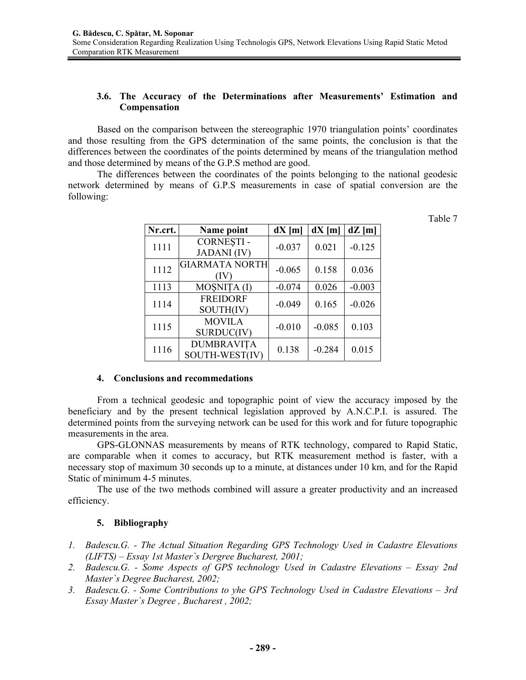# **3.6. The Accuracy of the Determinations after Measurements' Estimation and Compensation**

Based on the comparison between the stereographic 1970 triangulation points' coordinates and those resulting from the GPS determination of the same points, the conclusion is that the differences between the coordinates of the points determined by means of the triangulation method and those determined by means of the G.P.S method are good.

The differences between the coordinates of the points belonging to the national geodesic network determined by means of G.P.S measurements in case of spatial conversion are the following:

Table 7

| Nr.crt. | Name point            | $dX$ [m] | $dX$ [m] | $dZ$ [m] |
|---------|-----------------------|----------|----------|----------|
| 1111    | <b>CORNESTI-</b>      | $-0.037$ | 0.021    | $-0.125$ |
|         | <b>JADANI</b> (IV)    |          |          |          |
| 1112    | <b>GIARMATA NORTH</b> | $-0.065$ | 0.158    | 0.036    |
|         | (IV)                  |          |          |          |
| 1113    | MOȘNIȚA (I)           | $-0.074$ | 0.026    | $-0.003$ |
| 1114    | <b>FREIDORF</b>       | $-0.049$ | 0.165    | $-0.026$ |
|         | SOUTH(IV)             |          |          |          |
| 1115    | <b>MOVILA</b>         | $-0.010$ | $-0.085$ | 0.103    |
|         | SURDUC(IV)            |          |          |          |
| 1116    | <b>DUMBRAVITA</b>     | 0.138    | $-0.284$ | 0.015    |
|         | SOUTH-WEST(IV)        |          |          |          |

#### **4. Conclusions and recommedations**

From a technical geodesic and topographic point of view the accuracy imposed by the beneficiary and by the present technical legislation approved by A.N.C.P.I. is assured. The determined points from the surveying network can be used for this work and for future topographic measurements in the area.

GPS-GLONNAS measurements by means of RTK technology, compared to Rapid Static, are comparable when it comes to accuracy, but RTK measurement method is faster, with a necessary stop of maximum 30 seconds up to a minute, at distances under 10 km, and for the Rapid Static of minimum 4-5 minutes.

The use of the two methods combined will assure a greater productivity and an increased efficiency.

#### **5. Bibliography**

- *1. Badescu.G. The Actual Situation Regarding GPS Technology Used in Cadastre Elevations (LIFTS) – Essay 1st Master`s Dergree Bucharest, 2001;*
- *2. Badescu.G. Some Aspects of GPS technology Used in Cadastre Elevations Essay 2nd Master`s Degree Bucharest, 2002;*
- *3. Badescu.G. Some Contributions to yhe GPS Technology Used in Cadastre Elevations 3rd Essay Master`s Degree , Bucharest , 2002;*